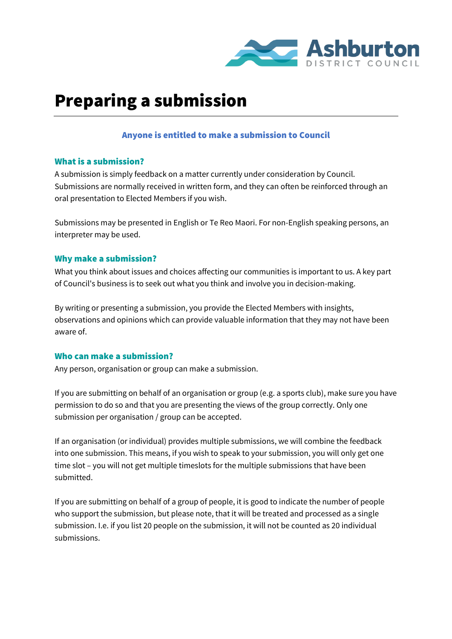

# Preparing a submission

#### Anyone is entitled to make a submission to Council

#### What is a submission?

A submission is simply feedback on a matter currently under consideration by Council. Submissions are normally received in written form, and they can often be reinforced through an oral presentation to Elected Members if you wish.

Submissions may be presented in English or Te Reo Maori. For non-English speaking persons, an interpreter may be used.

### Why make a submission?

What you think about issues and choices affecting our communities is important to us. A key part of Council's business is to seek out what you think and involve you in decision-making.

By writing or presenting a submission, you provide the Elected Members with insights, observations and opinions which can provide valuable information that they may not have been aware of.

## Who can make a submission?

Any person, organisation or group can make a submission.

If you are submitting on behalf of an organisation or group (e.g. a sports club), make sure you have permission to do so and that you are presenting the views of the group correctly. Only one submission per organisation / group can be accepted.

If an organisation (or individual) provides multiple submissions, we will combine the feedback into one submission. This means, if you wish to speak to your submission, you will only get one time slot – you will not get multiple timeslots for the multiple submissions that have been submitted.

If you are submitting on behalf of a group of people, it is good to indicate the number of people who support the submission, but please note, that it will be treated and processed as a single submission. I.e. if you list 20 people on the submission, it will not be counted as 20 individual submissions.